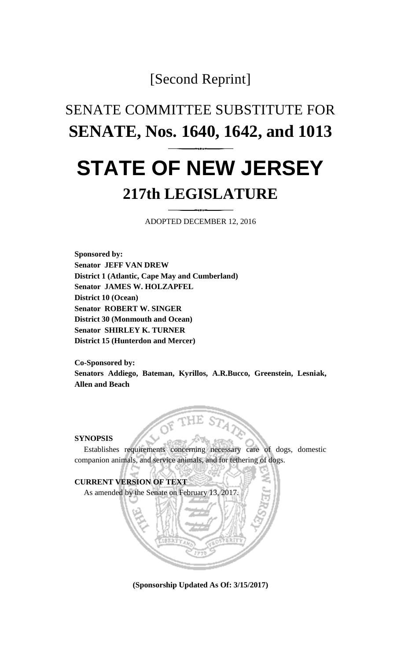### [Second Reprint]

## SENATE COMMITTEE SUBSTITUTE FOR **SENATE, Nos. 1640, 1642, and 1013**

# **STATE OF NEW JERSEY 217th LEGISLATURE**

ADOPTED DECEMBER 12, 2016

**Sponsored by: Senator JEFF VAN DREW District 1 (Atlantic, Cape May and Cumberland) Senator JAMES W. HOLZAPFEL District 10 (Ocean) Senator ROBERT W. SINGER District 30 (Monmouth and Ocean) Senator SHIRLEY K. TURNER District 15 (Hunterdon and Mercer)**

**Co-Sponsored by: Senators Addiego, Bateman, Kyrillos, A.R.Bucco, Greenstein, Lesniak, Allen and Beach**

#### **SYNOPSIS**

Establishes requirements concerning necessary care of dogs, domestic companion animals, and service animals, and for tethering of dogs.



**(Sponsorship Updated As Of: 3/15/2017)**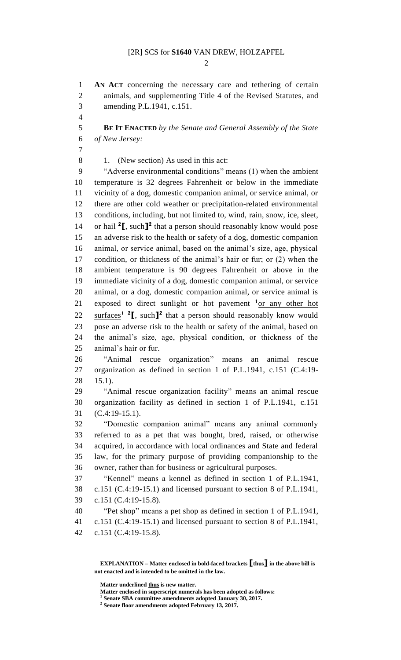$\mathcal{D}_{\mathcal{L}}$ 

 **AN ACT** concerning the necessary care and tethering of certain animals, and supplementing Title 4 of the Revised Statutes, and amending P.L.1941, c.151.

 **BE IT ENACTED** *by the Senate and General Assembly of the State of New Jersey:*

1. (New section) As used in this act:

 "Adverse environmental conditions" means (1) when the ambient temperature is 32 degrees Fahrenheit or below in the immediate vicinity of a dog, domestic companion animal, or service animal, or there are other cold weather or precipitation-related environmental conditions, including, but not limited to, wind, rain, snow, ice, sleet, 14 or hail  $2\mathbf{I}$ , such  $\mathbf{I}^2$  that a person should reasonably know would pose an adverse risk to the health or safety of a dog, domestic companion animal, or service animal, based on the animal's size, age, physical condition, or thickness of the animal's hair or fur; or (2) when the ambient temperature is 90 degrees Fahrenheit or above in the immediate vicinity of a dog, domestic companion animal, or service animal, or a dog, domestic companion animal, or service animal is 21 exposed to direct sunlight or hot pavement <sup>1</sup><sub>Of any other hot</sub> 22 surfaces<sup>1</sup> <sup>2</sup>, such<sup>1</sup> that a person should reasonably know would pose an adverse risk to the health or safety of the animal, based on the animal's size, age, physical condition, or thickness of the animal's hair or fur.

 "Animal rescue organization" means an animal rescue organization as defined in section 1 of P.L.1941, c.151 (C.4:19- 15.1).

 "Animal rescue organization facility" means an animal rescue organization facility as defined in section 1 of P.L.1941, c.151 (C.4:19-15.1).

 "Domestic companion animal" means any animal commonly referred to as a pet that was bought, bred, raised, or otherwise acquired, in accordance with local ordinances and State and federal law, for the primary purpose of providing companionship to the owner, rather than for business or agricultural purposes.

 "Kennel" means a kennel as defined in section 1 of P.L.1941, c.151 (C.4:19-15.1) and licensed pursuant to section 8 of P.L.1941, c.151 (C.4:19-15.8).

 "Pet shop" means a pet shop as defined in section 1 of P.L.1941, c.151 (C.4:19-15.1) and licensed pursuant to section 8 of P.L.1941,

c.151 (C.4:19-15.8).

**EXPLANATION – Matter enclosed in bold-faced brackets [thus] in the above bill is not enacted and is intended to be omitted in the law.**

**Matter underlined thus is new matter.**

Matter enclosed in superscript numerals has been adopted as follows:<br><sup>1</sup> Sanate SPA committee amondments adopted January 30, 2017

**Senate SBA committee amendments adopted January 30, 2017.**

**Senate floor amendments adopted February 13, 2017.**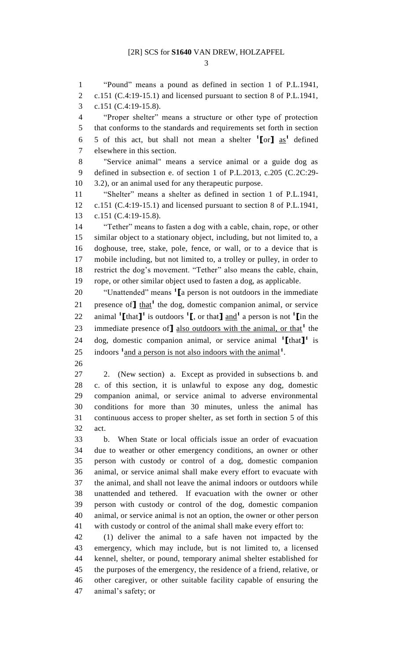"Pound" means a pound as defined in section 1 of P.L.1941, c.151 (C.4:19-15.1) and licensed pursuant to section 8 of P.L.1941, c.151 (C.4:19-15.8). "Proper shelter" means a structure or other type of protection that conforms to the standards and requirements set forth in section 6 5 of this act, but shall not mean a shelter  $\binom{1}{0}$  as<sup>1</sup> defined elsewhere in this section. "Service animal" means a service animal or a guide dog as defined in subsection e. of section 1 of P.L.2013, c.205 (C.2C:29- 3.2), or an animal used for any therapeutic purpose. "Shelter" means a shelter as defined in section 1 of P.L.1941, c.151 (C.4:19-15.1) and licensed pursuant to section 8 of P.L.1941, c.151 (C.4:19-15.8). "Tether" means to fasten a dog with a cable, chain, rope, or other similar object to a stationary object, including, but not limited to, a doghouse, tree, stake, pole, fence, or wall, or to a device that is mobile including, but not limited to, a trolley or pulley, in order to restrict the dog's movement. "Tether" also means the cable, chain, rope, or other similar object used to fasten a dog, as applicable. "Unattended" means **<sup>1</sup> [**a person is not outdoors in the immediate 21 presence of  $\mathbf{I}$  that<sup>1</sup> the dog, domestic companion animal, or service 22 animal  $\text{I}\left[\text{that}\right]$ <sup>1</sup> is outdoors  $\text{I}\left[\text{I}\right]$ , or that  $\text{I}\left[\text{and}^1\right]$  a person is not  $\text{I}\left[\text{I}\right]$  in the 23 immediate presence of **J** also outdoors with the animal, or that<sup>1</sup> the 24 dog, domestic companion animal, or service animal  $\text{[}$ <sup>1</sup> $\text{[}$ that $\text{]}$ <sup>1</sup> is 25 indoors <sup>1</sup> and a person is not also indoors with the animal<sup>1</sup>. 2. (New section) a. Except as provided in subsections b. and c. of this section, it is unlawful to expose any dog, domestic companion animal, or service animal to adverse environmental conditions for more than 30 minutes, unless the animal has continuous access to proper shelter, as set forth in section 5 of this act. b. When State or local officials issue an order of evacuation due to weather or other emergency conditions, an owner or other person with custody or control of a dog, domestic companion animal, or service animal shall make every effort to evacuate with the animal, and shall not leave the animal indoors or outdoors while unattended and tethered. If evacuation with the owner or other person with custody or control of the dog, domestic companion animal, or service animal is not an option, the owner or other person with custody or control of the animal shall make every effort to: (1) deliver the animal to a safe haven not impacted by the emergency, which may include, but is not limited to, a licensed kennel, shelter, or pound, temporary animal shelter established for the purposes of the emergency, the residence of a friend, relative, or other caregiver, or other suitable facility capable of ensuring the animal's safety; or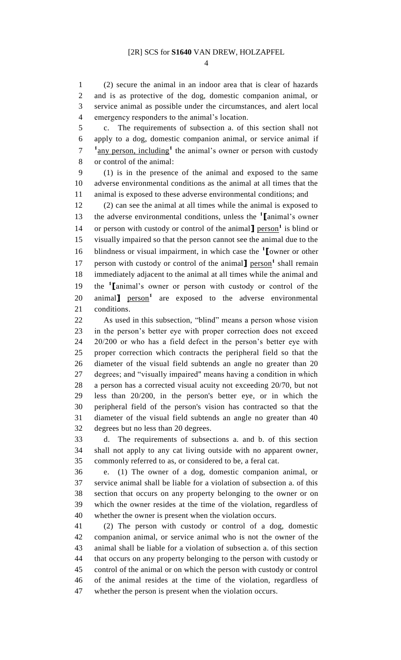(2) secure the animal in an indoor area that is clear of hazards and is as protective of the dog, domestic companion animal, or service animal as possible under the circumstances, and alert local emergency responders to the animal's location.

 c. The requirements of subsection a. of this section shall not apply to a dog, domestic companion animal, or service animal if <sup>1</sup> any person, including<sup>1</sup> the animal's owner or person with custody or control of the animal:

 (1) is in the presence of the animal and exposed to the same adverse environmental conditions as the animal at all times that the animal is exposed to these adverse environmental conditions; and

 (2) can see the animal at all times while the animal is exposed to the adverse environmental conditions, unless the **<sup>1</sup> [**animal's owner 14 or person with custody or control of the animal **]** person<sup>1</sup> is blind or visually impaired so that the person cannot see the animal due to the blindness or visual impairment, in which case the **<sup>1</sup> [**owner or other 17 person with custody or control of the animal<sup>1</sup> person<sup>1</sup> shall remain immediately adjacent to the animal at all times while the animal and the **<sup>1</sup> [**animal's owner or person with custody or control of the 20 animal**]** person<sup>1</sup> are exposed to the adverse environmental conditions.

 As used in this subsection, "blind" means a person whose vision in the person's better eye with proper correction does not exceed 20/200 or who has a field defect in the person's better eye with proper correction which contracts the peripheral field so that the diameter of the visual field subtends an angle no greater than 20 degrees; and "visually impaired" means having a condition in which a person has a corrected visual acuity not exceeding 20/70, but not less than 20/200, in the person's better eye, or in which the peripheral field of the person's vision has contracted so that the diameter of the visual field subtends an angle no greater than 40 degrees but no less than 20 degrees.

 d. The requirements of subsections a. and b. of this section shall not apply to any cat living outside with no apparent owner, commonly referred to as, or considered to be, a feral cat.

 e. (1) The owner of a dog, domestic companion animal, or service animal shall be liable for a violation of subsection a. of this section that occurs on any property belonging to the owner or on which the owner resides at the time of the violation, regardless of whether the owner is present when the violation occurs.

 (2) The person with custody or control of a dog, domestic companion animal, or service animal who is not the owner of the animal shall be liable for a violation of subsection a. of this section that occurs on any property belonging to the person with custody or control of the animal or on which the person with custody or control of the animal resides at the time of the violation, regardless of whether the person is present when the violation occurs.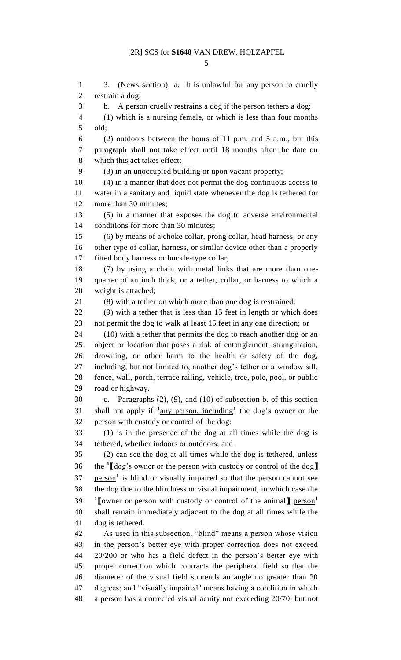3. (News section) a. It is unlawful for any person to cruelly restrain a dog. b. A person cruelly restrains a dog if the person tethers a dog: (1) which is a nursing female, or which is less than four months old; (2) outdoors between the hours of 11 p.m. and 5 a.m., but this paragraph shall not take effect until 18 months after the date on which this act takes effect; (3) in an unoccupied building or upon vacant property; (4) in a manner that does not permit the dog continuous access to water in a sanitary and liquid state whenever the dog is tethered for more than 30 minutes; (5) in a manner that exposes the dog to adverse environmental conditions for more than 30 minutes; (6) by means of a choke collar, prong collar, head harness, or any other type of collar, harness, or similar device other than a properly fitted body harness or buckle-type collar; (7) by using a chain with metal links that are more than one- quarter of an inch thick, or a tether, collar, or harness to which a weight is attached; (8) with a tether on which more than one dog is restrained; (9) with a tether that is less than 15 feet in length or which does not permit the dog to walk at least 15 feet in any one direction; or 24 (10) with a tether that permits the dog to reach another dog or an object or location that poses a risk of entanglement, strangulation, drowning, or other harm to the health or safety of the dog, including, but not limited to, another dog's tether or a window sill, fence, wall, porch, terrace railing, vehicle, tree, pole, pool, or public road or highway. c. Paragraphs (2), (9), and (10) of subsection b. of this section 31 shall not apply if  $\frac{1}{2}$  any person, including<sup>1</sup> the dog's owner or the person with custody or control of the dog: (1) is in the presence of the dog at all times while the dog is tethered, whether indoors or outdoors; and (2) can see the dog at all times while the dog is tethered, unless the **<sup>1</sup> [**dog's owner or the person with custody or control of the dog**]** 37 person<sup>1</sup> is blind or visually impaired so that the person cannot see the dog due to the blindness or visual impairment, in which case the **[**owner or person with custody or control of the animal**]** person**<sup>1</sup>** shall remain immediately adjacent to the dog at all times while the dog is tethered. As used in this subsection, "blind" means a person whose vision in the person's better eye with proper correction does not exceed 20/200 or who has a field defect in the person's better eye with proper correction which contracts the peripheral field so that the diameter of the visual field subtends an angle no greater than 20 degrees; and "visually impaired" means having a condition in which a person has a corrected visual acuity not exceeding 20/70, but not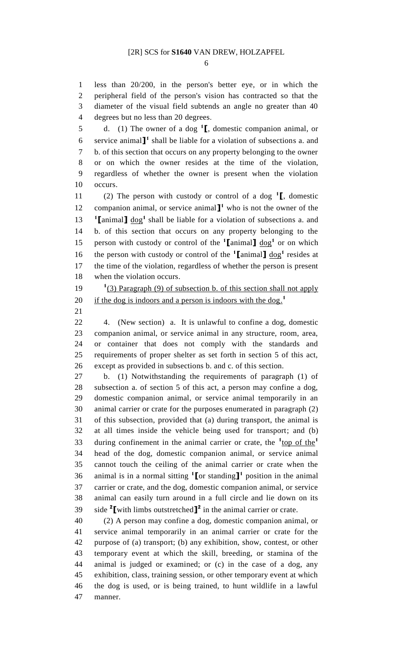less than 20/200, in the person's better eye, or in which the peripheral field of the person's vision has contracted so that the diameter of the visual field subtends an angle no greater than 40 degrees but no less than 20 degrees.

d. (1) The owner of a dog **<sup>1</sup> [**, domestic companion animal, or 6 service animal<sup>1</sup> shall be liable for a violation of subsections a. and b. of this section that occurs on any property belonging to the owner or on which the owner resides at the time of the violation, regardless of whether the owner is present when the violation occurs.

(2) The person with custody or control of a dog **<sup>1</sup> [**, domestic 12 companion animal, or service animal<sup>1</sup> who is not the owner of the 13  $\text{I}$  **[**animal**]** dog<sup>1</sup> shall be liable for a violation of subsections a. and b. of this section that occurs on any property belonging to the 15 person with custody or control of the  $\textbf{1}$  animal  $\textbf{1}$  dog<sup>1</sup> or on which 16 the person with custody or control of the  $\text{1}$  animal  $\text{1}$  dog<sup>1</sup> resides at the time of the violation, regardless of whether the person is present when the violation occurs.

19 <sup>1</sup>(3) Paragraph (9) of subsection b. of this section shall not apply if the dog is indoors and a person is indoors with the dog.<sup>1</sup> 

 4. (New section) a. It is unlawful to confine a dog, domestic companion animal, or service animal in any structure, room, area, or container that does not comply with the standards and requirements of proper shelter as set forth in section 5 of this act, except as provided in subsections b. and c. of this section.

 b. (1) Notwithstanding the requirements of paragraph (1) of subsection a. of section 5 of this act, a person may confine a dog, domestic companion animal, or service animal temporarily in an animal carrier or crate for the purposes enumerated in paragraph (2) of this subsection, provided that (a) during transport, the animal is at all times inside the vehicle being used for transport; and (b) during confinement in the animal carrier or crate, the <sup>1</sup><sub>top of the<sup>1</sup></sub> head of the dog, domestic companion animal, or service animal cannot touch the ceiling of the animal carrier or crate when the 36 animal is in a normal sitting  $\textbf{1}$  or standing  $\textbf{1}$ <sup>1</sup> position in the animal carrier or crate, and the dog, domestic companion animal, or service animal can easily turn around in a full circle and lie down on its 39 ide with limbs outstretched  $\mathbf{I}^2$  in the animal carrier or crate.

 (2) A person may confine a dog, domestic companion animal, or service animal temporarily in an animal carrier or crate for the purpose of (a) transport; (b) any exhibition, show, contest, or other temporary event at which the skill, breeding, or stamina of the animal is judged or examined; or (c) in the case of a dog, any exhibition, class, training session, or other temporary event at which the dog is used, or is being trained, to hunt wildlife in a lawful manner.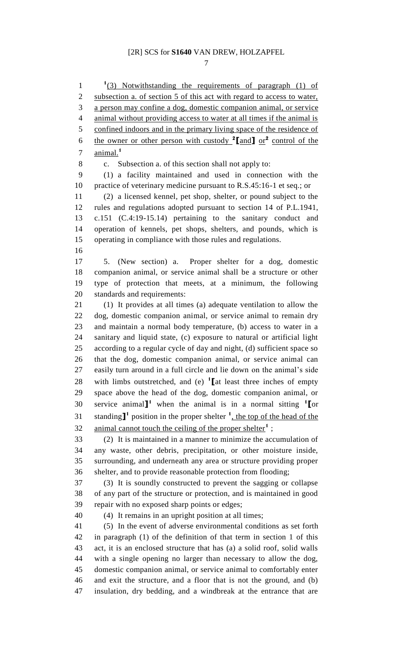1 <sup>1</sup>(3) Notwithstanding the requirements of paragraph (1) of subsection a. of section 5 of this act with regard to access to water, a person may confine a dog, domestic companion animal, or service animal without providing access to water at all times if the animal is 5 confined indoors and in the primary living space of the residence of the owner or other person with custody **<sup>2</sup> [**and**]** or**<sup>2</sup>** control of the animal.**<sup>1</sup>** c. Subsection a. of this section shall not apply to: (1) a facility maintained and used in connection with the 10 practice of veterinary medicine pursuant to R.S.45:16-1 et seq.; or (2) a licensed kennel, pet shop, shelter, or pound subject to the rules and regulations adopted pursuant to section 14 of P.L.1941, c.151 (C.4:19-15.14) pertaining to the sanitary conduct and operation of kennels, pet shops, shelters, and pounds, which is operating in compliance with those rules and regulations. 5. (New section) a. Proper shelter for a dog, domestic companion animal, or service animal shall be a structure or other type of protection that meets, at a minimum, the following standards and requirements: (1) It provides at all times (a) adequate ventilation to allow the dog, domestic companion animal, or service animal to remain dry and maintain a normal body temperature, (b) access to water in a sanitary and liquid state, (c) exposure to natural or artificial light according to a regular cycle of day and night, (d) sufficient space so that the dog, domestic companion animal, or service animal can easily turn around in a full circle and lie down on the animal's side 28 with limbs outstretched, and (e) <sup>1</sup> [at least three inches of empty space above the head of the dog, domestic companion animal, or service animal**] <sup>1</sup>** when the animal is in a normal sitting **<sup>1</sup> [**or 31 standing<sup>1</sup> position in the proper shelter <sup>1</sup>, the top of the head of the 32 animal cannot touch the ceiling of the proper shelter<sup>1</sup>; (2) It is maintained in a manner to minimize the accumulation of any waste, other debris, precipitation, or other moisture inside, surrounding, and underneath any area or structure providing proper shelter, and to provide reasonable protection from flooding; (3) It is soundly constructed to prevent the sagging or collapse of any part of the structure or protection, and is maintained in good repair with no exposed sharp points or edges; (4) It remains in an upright position at all times; (5) In the event of adverse environmental conditions as set forth in paragraph (1) of the definition of that term in section 1 of this act, it is an enclosed structure that has (a) a solid roof, solid walls with a single opening no larger than necessary to allow the dog, domestic companion animal, or service animal to comfortably enter and exit the structure, and a floor that is not the ground, and (b) insulation, dry bedding, and a windbreak at the entrance that are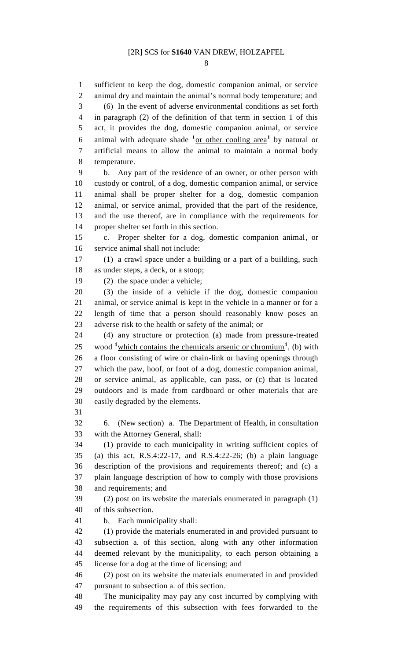sufficient to keep the dog, domestic companion animal, or service

 animal dry and maintain the animal's normal body temperature; and (6) In the event of adverse environmental conditions as set forth in paragraph (2) of the definition of that term in section 1 of this act, it provides the dog, domestic companion animal, or service 6 animal with adequate shade <sup>1</sup><sub>or other cooling area<sup>1</sup> by natural or</sub> artificial means to allow the animal to maintain a normal body temperature. b. Any part of the residence of an owner, or other person with custody or control, of a dog, domestic companion animal, or service animal shall be proper shelter for a dog, domestic companion animal, or service animal, provided that the part of the residence, and the use thereof, are in compliance with the requirements for proper shelter set forth in this section. c. Proper shelter for a dog, domestic companion animal, or service animal shall not include: (1) a crawl space under a building or a part of a building, such as under steps, a deck, or a stoop; (2) the space under a vehicle; (3) the inside of a vehicle if the dog, domestic companion animal, or service animal is kept in the vehicle in a manner or for a length of time that a person should reasonably know poses an adverse risk to the health or safety of the animal; or (4) any structure or protection (a) made from pressure-treated 25 wood <sup>1</sup> which contains the chemicals arsenic or chromium<sup>1</sup>, (b) with a floor consisting of wire or chain-link or having openings through which the paw, hoof, or foot of a dog, domestic companion animal, or service animal, as applicable, can pass, or (c) that is located outdoors and is made from cardboard or other materials that are easily degraded by the elements. 6. (New section) a. The Department of Health, in consultation with the Attorney General, shall: (1) provide to each municipality in writing sufficient copies of (a) this act, R.S.4:22-17, and R.S.4:22-26; (b) a plain language description of the provisions and requirements thereof; and (c) a plain language description of how to comply with those provisions and requirements; and (2) post on its website the materials enumerated in paragraph (1) of this subsection. b. Each municipality shall: (1) provide the materials enumerated in and provided pursuant to subsection a. of this section, along with any other information deemed relevant by the municipality, to each person obtaining a license for a dog at the time of licensing; and (2) post on its website the materials enumerated in and provided pursuant to subsection a. of this section. The municipality may pay any cost incurred by complying with the requirements of this subsection with fees forwarded to the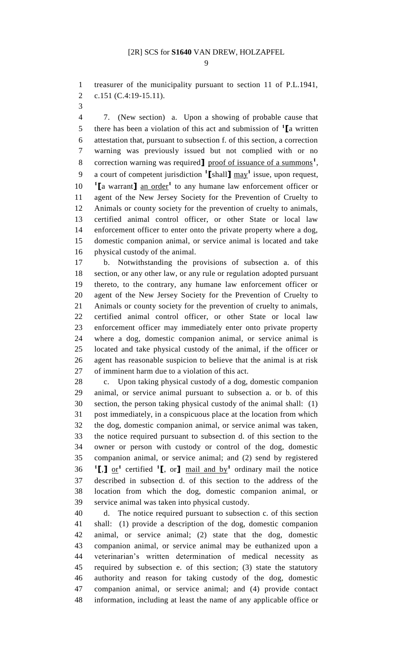treasurer of the municipality pursuant to section 11 of P.L.1941, c.151 (C.4:19-15.11).

 7. (New section) a. Upon a showing of probable cause that there has been a violation of this act and submission of **<sup>1</sup> [**a written attestation that, pursuant to subsection f. of this section, a correction warning was previously issued but not complied with or no 8 correction warning was required<sup>1</sup> proof of issuance of a summons<sup>1</sup>, a court of competent jurisdiction **<sup>1</sup> [**shall**]** may**<sup>1</sup>** issue, upon request, **<sup>1</sup>** [a warrant] an order<sup>1</sup> to any humane law enforcement officer or agent of the New Jersey Society for the Prevention of Cruelty to Animals or county society for the prevention of cruelty to animals, certified animal control officer, or other State or local law enforcement officer to enter onto the private property where a dog, domestic companion animal, or service animal is located and take physical custody of the animal.

 b. Notwithstanding the provisions of subsection a. of this section, or any other law, or any rule or regulation adopted pursuant thereto, to the contrary, any humane law enforcement officer or agent of the New Jersey Society for the Prevention of Cruelty to Animals or county society for the prevention of cruelty to animals, certified animal control officer, or other State or local law enforcement officer may immediately enter onto private property where a dog, domestic companion animal, or service animal is located and take physical custody of the animal, if the officer or agent has reasonable suspicion to believe that the animal is at risk of imminent harm due to a violation of this act.

 c. Upon taking physical custody of a dog, domestic companion animal, or service animal pursuant to subsection a. or b. of this section, the person taking physical custody of the animal shall: (1) post immediately, in a conspicuous place at the location from which the dog, domestic companion animal, or service animal was taken, the notice required pursuant to subsection d. of this section to the owner or person with custody or control of the dog, domestic companion animal, or service animal; and (2) send by registered **[**,**]** <u>or</u><sup>1</sup> certified <sup>1</sup>**[**, or**]** <u>mail and by</u><sup>1</sup> ordinary mail the notice described in subsection d. of this section to the address of the location from which the dog, domestic companion animal, or service animal was taken into physical custody.

 d. The notice required pursuant to subsection c. of this section shall: (1) provide a description of the dog, domestic companion animal, or service animal; (2) state that the dog, domestic companion animal, or service animal may be euthanized upon a veterinarian's written determination of medical necessity as required by subsection e. of this section; (3) state the statutory authority and reason for taking custody of the dog, domestic companion animal, or service animal; and (4) provide contact information, including at least the name of any applicable office or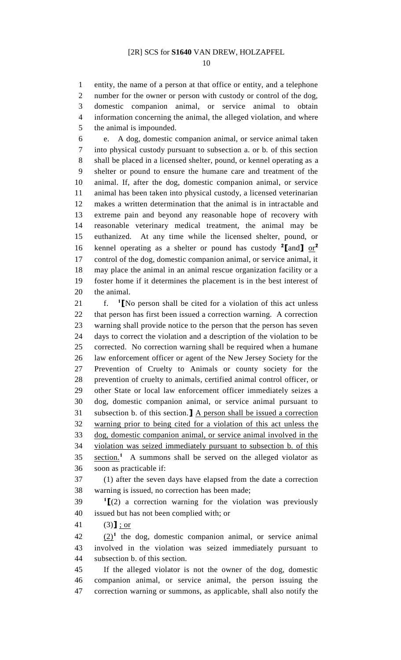entity, the name of a person at that office or entity, and a telephone number for the owner or person with custody or control of the dog, domestic companion animal, or service animal to obtain information concerning the animal, the alleged violation, and where the animal is impounded.

 e. A dog, domestic companion animal, or service animal taken into physical custody pursuant to subsection a. or b. of this section shall be placed in a licensed shelter, pound, or kennel operating as a shelter or pound to ensure the humane care and treatment of the animal. If, after the dog, domestic companion animal, or service animal has been taken into physical custody, a licensed veterinarian makes a written determination that the animal is in intractable and extreme pain and beyond any reasonable hope of recovery with reasonable veterinary medical treatment, the animal may be euthanized. At any time while the licensed shelter, pound, or kennel operating as a shelter or pound has custody **<sup>2</sup> [**and**]** or**<sup>2</sup>** control of the dog, domestic companion animal, or service animal, it may place the animal in an animal rescue organization facility or a foster home if it determines the placement is in the best interest of the animal.

f. **<sup>1</sup> f.** <sup>1</sup> [No person shall be cited for a violation of this act unless that person has first been issued a correction warning. A correction warning shall provide notice to the person that the person has seven days to correct the violation and a description of the violation to be corrected. No correction warning shall be required when a humane law enforcement officer or agent of the New Jersey Society for the Prevention of Cruelty to Animals or county society for the prevention of cruelty to animals, certified animal control officer, or other State or local law enforcement officer immediately seizes a dog, domestic companion animal, or service animal pursuant to subsection b. of this section.**]** A person shall be issued a correction warning prior to being cited for a violation of this act unless the dog, domestic companion animal, or service animal involved in the violation was seized immediately pursuant to subsection b. of this 35 section.<sup>1</sup> A summons shall be served on the alleged violator as soon as practicable if:

 (1) after the seven days have elapsed from the date a correction warning is issued, no correction has been made;

  $(2)$  a correction warning for the violation was previously issued but has not been complied with; or

(3)**]** ; or

 $(2)$ <sup>1</sup> the dog, domestic companion animal, or service animal involved in the violation was seized immediately pursuant to subsection b. of this section.

 If the alleged violator is not the owner of the dog, domestic companion animal, or service animal, the person issuing the correction warning or summons, as applicable, shall also notify the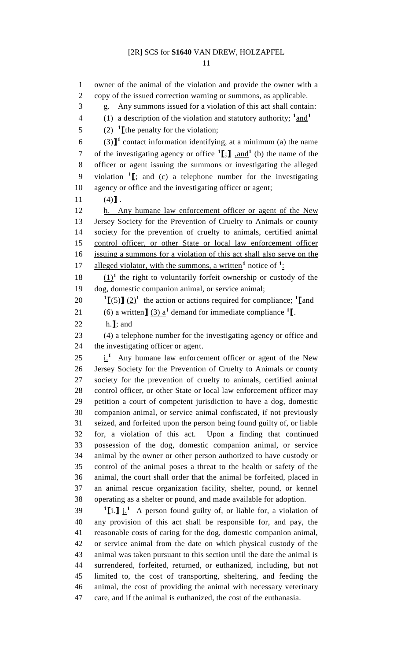owner of the animal of the violation and provide the owner with a copy of the issued correction warning or summons, as applicable. g. Any summons issued for a violation of this act shall contain: (1) a description of the violation and statutory authority;  $1<sup>1</sup>$  and  $1<sup>1</sup>$   $(2)$  <sup>1</sup> [the penalty for the violation; 6 (3)<sup><sup>1</sup></sup> contact information identifying, at a minimum (a) the name 7 of the investigating agency or office  $\textbf{1}$ :  $\textbf{1}$ ,  $\text{and}$   $\textbf{1}$  (b) the name of the officer or agent issuing the summons or investigating the alleged violation **<sup>1</sup> [**; and (c) a telephone number for the investigating agency or office and the investigating officer or agent; 11 (4)**]**. h. Any humane law enforcement officer or agent of the New Jersey Society for the Prevention of Cruelty to Animals or county society for the prevention of cruelty to animals, certified animal control officer, or other State or local law enforcement officer issuing a summons for a violation of this act shall also serve on the 17 alleged violator, with the summons, a written<sup>1</sup> notice of <sup>1</sup>:  $(1)^1$  the right to voluntarily forfeit ownership or custody of the dog, domestic companion animal, or service animal;  $\textbf{1}$   $[(5)$   $(2)$ <sup>1</sup> the action or actions required for compliance; **1** [and 21 (6) a written  $\int (3) a^1$  demand for immediate compliance  $\int$ . h.**]**; and (4) a telephone number for the investigating agency or office and 24 the investigating officer or agent.  $25 \frac{1}{1}$  Any humane law enforcement officer or agent of the New Jersey Society for the Prevention of Cruelty to Animals or county society for the prevention of cruelty to animals, certified animal control officer, or other State or local law enforcement officer may petition a court of competent jurisdiction to have a dog, domestic companion animal, or service animal confiscated, if not previously seized, and forfeited upon the person being found guilty of, or liable for, a violation of this act. Upon a finding that continued possession of the dog, domestic companion animal, or service animal by the owner or other person authorized to have custody or control of the animal poses a threat to the health or safety of the animal, the court shall order that the animal be forfeited, placed in an animal rescue organization facility, shelter, pound, or kennel operating as a shelter or pound, and made available for adoption. **i. 1** i. **1 h 1h 1h 1h 1h 1h 1h 1h 1h 1h 1h 1h 1h 1h 1h 1h 1h 1h 1h 1h 1h 1h 1h 1h 1h 1h 1h 1h 1h** any provision of this act shall be responsible for, and pay, the reasonable costs of caring for the dog, domestic companion animal, or service animal from the date on which physical custody of the animal was taken pursuant to this section until the date the animal is surrendered, forfeited, returned, or euthanized, including, but not limited to, the cost of transporting, sheltering, and feeding the animal, the cost of providing the animal with necessary veterinary care, and if the animal is euthanized, the cost of the euthanasia.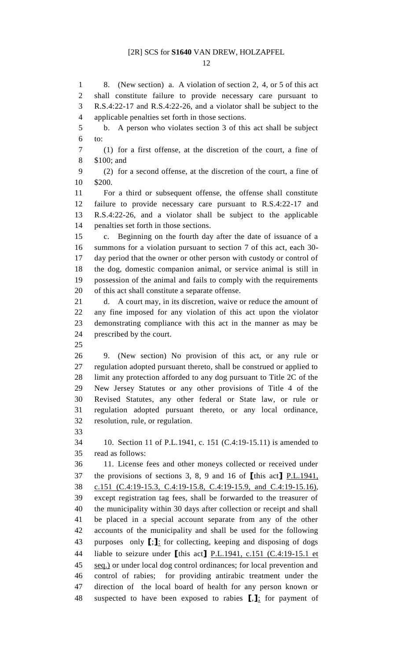8. (New section) a. A violation of section 2, 4, or 5 of this act shall constitute failure to provide necessary care pursuant to R.S.4:22-17 and R.S.4:22-26, and a violator shall be subject to the applicable penalties set forth in those sections. b. A person who violates section 3 of this act shall be subject to: (1) for a first offense, at the discretion of the court, a fine of \$100; and (2) for a second offense, at the discretion of the court, a fine of \$200. For a third or subsequent offense, the offense shall constitute failure to provide necessary care pursuant to R.S.4:22-17 and R.S.4:22-26, and a violator shall be subject to the applicable penalties set forth in those sections. c. Beginning on the fourth day after the date of issuance of a summons for a violation pursuant to section 7 of this act, each 30- day period that the owner or other person with custody or control of the dog, domestic companion animal, or service animal is still in possession of the animal and fails to comply with the requirements of this act shall constitute a separate offense. d. A court may, in its discretion, waive or reduce the amount of any fine imposed for any violation of this act upon the violator demonstrating compliance with this act in the manner as may be prescribed by the court. 9. (New section) No provision of this act, or any rule or regulation adopted pursuant thereto, shall be construed or applied to limit any protection afforded to any dog pursuant to Title 2C of the New Jersey Statutes or any other provisions of Title 4 of the Revised Statutes, any other federal or State law, or rule or regulation adopted pursuant thereto, or any local ordinance, resolution, rule, or regulation. 10. Section 11 of P.L.1941, c. 151 (C.4:19-15.11) is amended to read as follows: 11. License fees and other moneys collected or received under the provisions of sections 3, 8, 9 and 16 of **[**this act**]** P.L.1941, c.151 (C.4:19-15.3, C.4:19-15.8, C.4:19-15.9, and C.4:19-15.16), except registration tag fees, shall be forwarded to the treasurer of the municipality within 30 days after collection or receipt and shall be placed in a special account separate from any of the other accounts of the municipality and shall be used for the following purposes only **[**;**]**: for collecting, keeping and disposing of dogs liable to seizure under **[**this act**]** P.L.1941, c.151 (C.4:19-15.1 et seq.) or under local dog control ordinances; for local prevention and control of rabies; for providing antirabic treatment under the direction of the local board of health for any person known or suspected to have been exposed to rabies **[**,**]**; for payment of